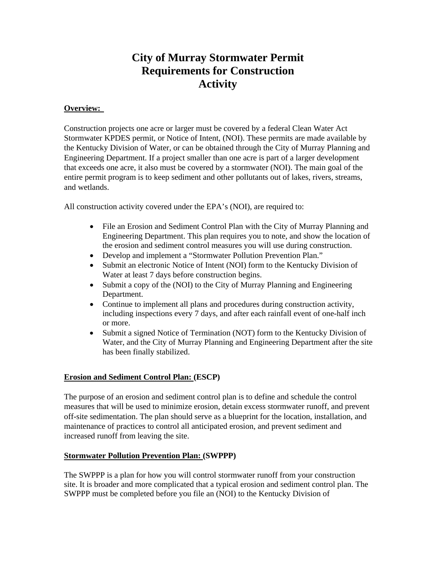## **City of Murray Stormwater Permit Requirements for Construction Activity**

## **Overview:**

Construction projects one acre or larger must be covered by a federal Clean Water Act Stormwater KPDES permit, or Notice of Intent, (NOI). These permits are made available by the Kentucky Division of Water, or can be obtained through the City of Murray Planning and Engineering Department. If a project smaller than one acre is part of a larger development that exceeds one acre, it also must be covered by a stormwater (NOI). The main goal of the entire permit program is to keep sediment and other pollutants out of lakes, rivers, streams, and wetlands.

All construction activity covered under the EPA's (NOI), are required to:

- File an Erosion and Sediment Control Plan with the City of Murray Planning and Engineering Department. This plan requires you to note, and show the location of the erosion and sediment control measures you will use during construction.
- Develop and implement a "Stormwater Pollution Prevention Plan."
- Submit an electronic Notice of Intent (NOI) form to the Kentucky Division of Water at least 7 days before construction begins.
- Submit a copy of the (NOI) to the City of Murray Planning and Engineering Department.
- Continue to implement all plans and procedures during construction activity, including inspections every 7 days, and after each rainfall event of one-half inch or more.
- Submit a signed Notice of Termination (NOT) form to the Kentucky Division of Water, and the City of Murray Planning and Engineering Department after the site has been finally stabilized.

## **Erosion and Sediment Control Plan: (ESCP)**

The purpose of an erosion and sediment control plan is to define and schedule the control measures that will be used to minimize erosion, detain excess stormwater runoff, and prevent off-site sedimentation. The plan should serve as a blueprint for the location, installation, and maintenance of practices to control all anticipated erosion, and prevent sediment and increased runoff from leaving the site.

## **Stormwater Pollution Prevention Plan: (SWPPP)**

The SWPPP is a plan for how you will control stormwater runoff from your construction site. It is broader and more complicated that a typical erosion and sediment control plan. The SWPPP must be completed before you file an (NOI) to the Kentucky Division of